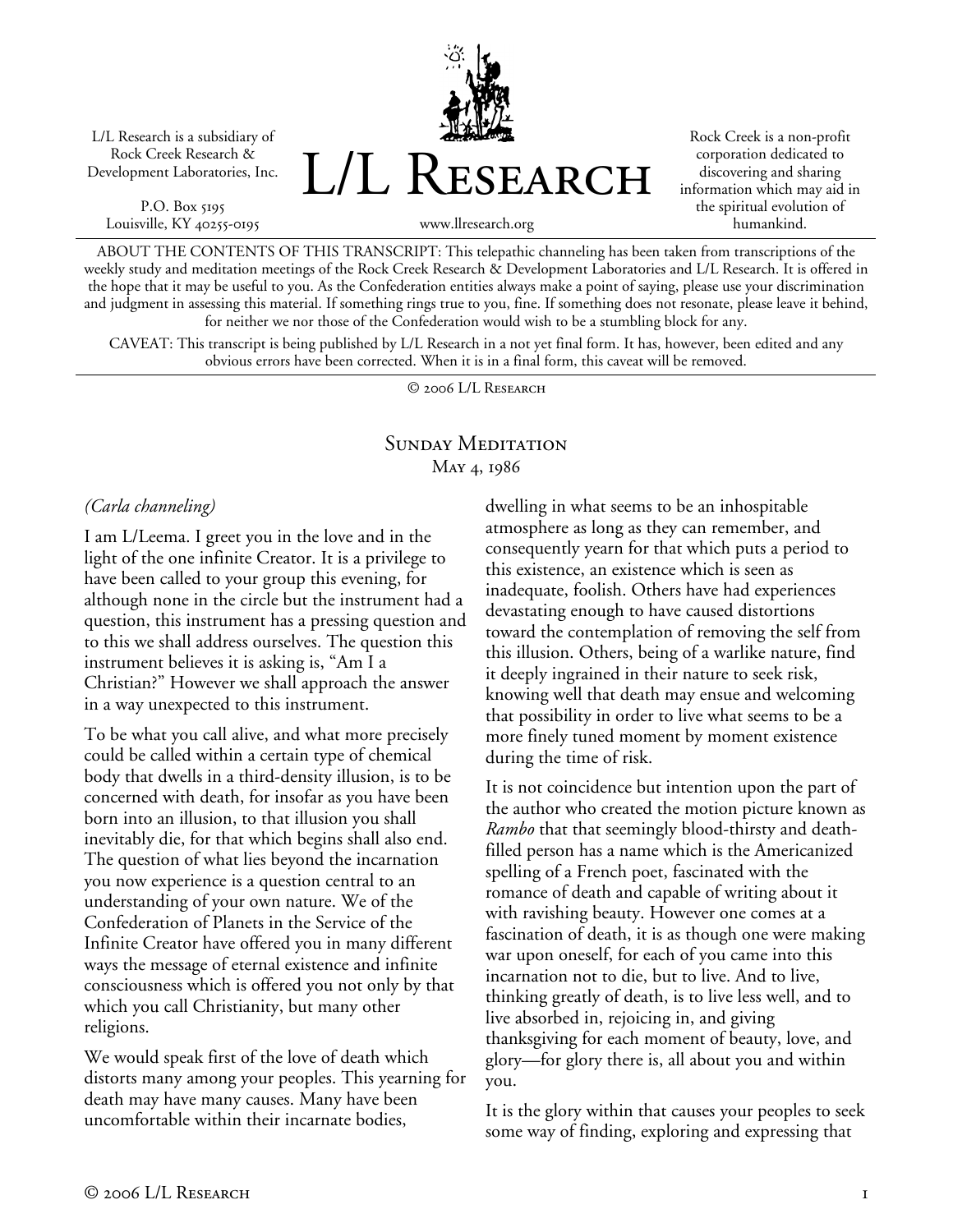L/L Research is a subsidiary of Rock Creek Research & Development Laboratories, Inc.

P.O. Box 5195 Louisville, KY 40255-0195 L/L Research

Rock Creek is a non-profit corporation dedicated to discovering and sharing information which may aid in the spiritual evolution of humankind.

www.llresearch.org

ABOUT THE CONTENTS OF THIS TRANSCRIPT: This telepathic channeling has been taken from transcriptions of the weekly study and meditation meetings of the Rock Creek Research & Development Laboratories and L/L Research. It is offered in the hope that it may be useful to you. As the Confederation entities always make a point of saying, please use your discrimination and judgment in assessing this material. If something rings true to you, fine. If something does not resonate, please leave it behind, for neither we nor those of the Confederation would wish to be a stumbling block for any.

CAVEAT: This transcript is being published by L/L Research in a not yet final form. It has, however, been edited and any obvious errors have been corrected. When it is in a final form, this caveat will be removed.

© 2006 L/L Research

### SUNDAY MEDITATION May 4, 1986

#### *(Carla channeling)*

I am L/Leema. I greet you in the love and in the light of the one infinite Creator. It is a privilege to have been called to your group this evening, for although none in the circle but the instrument had a question, this instrument has a pressing question and to this we shall address ourselves. The question this instrument believes it is asking is, "Am I a Christian?" However we shall approach the answer in a way unexpected to this instrument.

To be what you call alive, and what more precisely could be called within a certain type of chemical body that dwells in a third-density illusion, is to be concerned with death, for insofar as you have been born into an illusion, to that illusion you shall inevitably die, for that which begins shall also end. The question of what lies beyond the incarnation you now experience is a question central to an understanding of your own nature. We of the Confederation of Planets in the Service of the Infinite Creator have offered you in many different ways the message of eternal existence and infinite consciousness which is offered you not only by that which you call Christianity, but many other religions.

We would speak first of the love of death which distorts many among your peoples. This yearning for death may have many causes. Many have been uncomfortable within their incarnate bodies,

dwelling in what seems to be an inhospitable atmosphere as long as they can remember, and consequently yearn for that which puts a period to this existence, an existence which is seen as inadequate, foolish. Others have had experiences devastating enough to have caused distortions toward the contemplation of removing the self from this illusion. Others, being of a warlike nature, find it deeply ingrained in their nature to seek risk, knowing well that death may ensue and welcoming that possibility in order to live what seems to be a more finely tuned moment by moment existence during the time of risk.

It is not coincidence but intention upon the part of the author who created the motion picture known as *Rambo* that that seemingly blood-thirsty and deathfilled person has a name which is the Americanized spelling of a French poet, fascinated with the romance of death and capable of writing about it with ravishing beauty. However one comes at a fascination of death, it is as though one were making war upon oneself, for each of you came into this incarnation not to die, but to live. And to live, thinking greatly of death, is to live less well, and to live absorbed in, rejoicing in, and giving thanksgiving for each moment of beauty, love, and glory—for glory there is, all about you and within you.

It is the glory within that causes your peoples to seek some way of finding, exploring and expressing that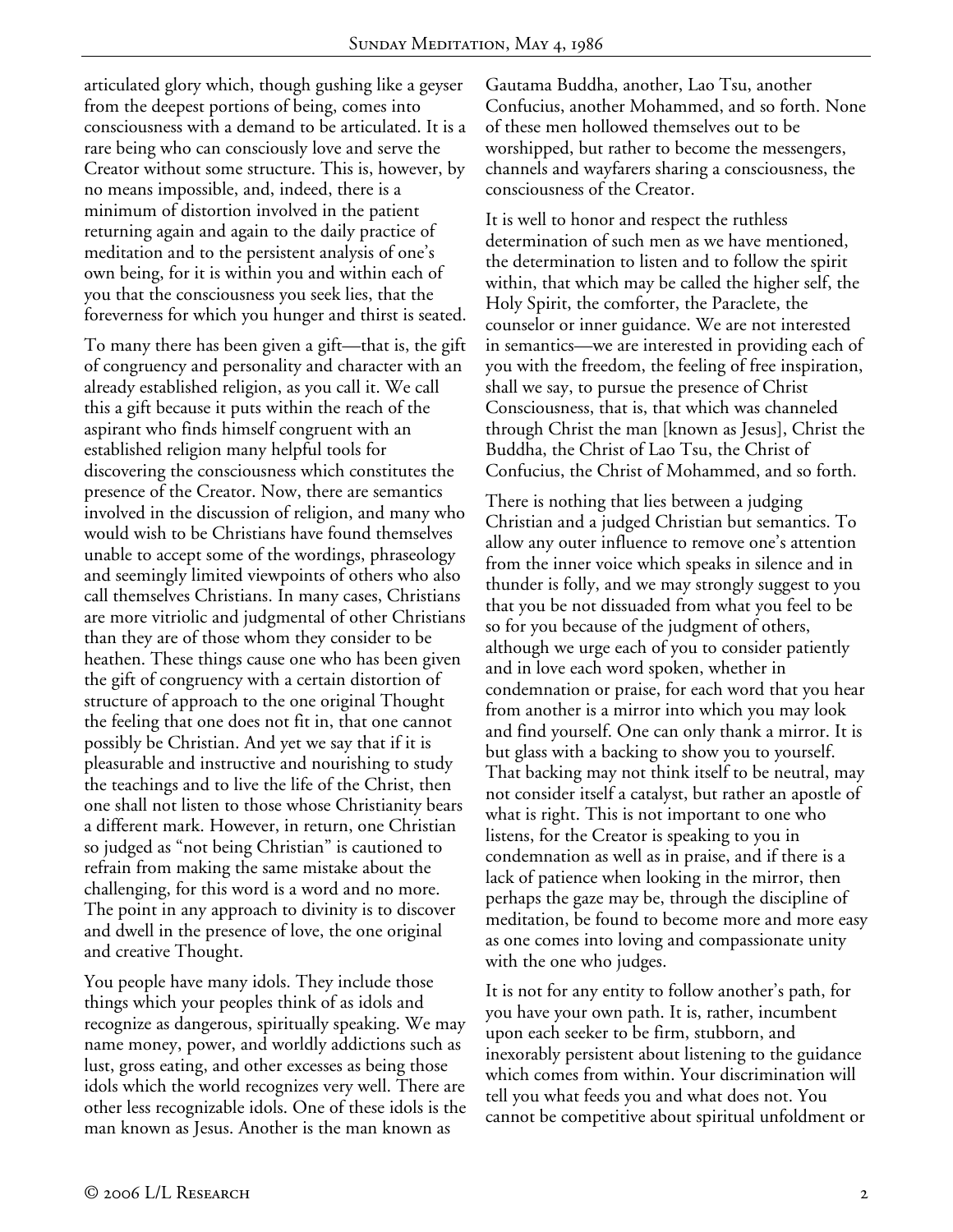articulated glory which, though gushing like a geyser from the deepest portions of being, comes into consciousness with a demand to be articulated. It is a rare being who can consciously love and serve the Creator without some structure. This is, however, by no means impossible, and, indeed, there is a minimum of distortion involved in the patient returning again and again to the daily practice of meditation and to the persistent analysis of one's own being, for it is within you and within each of you that the consciousness you seek lies, that the foreverness for which you hunger and thirst is seated.

To many there has been given a gift—that is, the gift of congruency and personality and character with an already established religion, as you call it. We call this a gift because it puts within the reach of the aspirant who finds himself congruent with an established religion many helpful tools for discovering the consciousness which constitutes the presence of the Creator. Now, there are semantics involved in the discussion of religion, and many who would wish to be Christians have found themselves unable to accept some of the wordings, phraseology and seemingly limited viewpoints of others who also call themselves Christians. In many cases, Christians are more vitriolic and judgmental of other Christians than they are of those whom they consider to be heathen. These things cause one who has been given the gift of congruency with a certain distortion of structure of approach to the one original Thought the feeling that one does not fit in, that one cannot possibly be Christian. And yet we say that if it is pleasurable and instructive and nourishing to study the teachings and to live the life of the Christ, then one shall not listen to those whose Christianity bears a different mark. However, in return, one Christian so judged as "not being Christian" is cautioned to refrain from making the same mistake about the challenging, for this word is a word and no more. The point in any approach to divinity is to discover and dwell in the presence of love, the one original and creative Thought.

You people have many idols. They include those things which your peoples think of as idols and recognize as dangerous, spiritually speaking. We may name money, power, and worldly addictions such as lust, gross eating, and other excesses as being those idols which the world recognizes very well. There are other less recognizable idols. One of these idols is the man known as Jesus. Another is the man known as

Gautama Buddha, another, Lao Tsu, another Confucius, another Mohammed, and so forth. None of these men hollowed themselves out to be worshipped, but rather to become the messengers, channels and wayfarers sharing a consciousness, the consciousness of the Creator.

It is well to honor and respect the ruthless determination of such men as we have mentioned, the determination to listen and to follow the spirit within, that which may be called the higher self, the Holy Spirit, the comforter, the Paraclete, the counselor or inner guidance. We are not interested in semantics—we are interested in providing each of you with the freedom, the feeling of free inspiration, shall we say, to pursue the presence of Christ Consciousness, that is, that which was channeled through Christ the man [known as Jesus], Christ the Buddha, the Christ of Lao Tsu, the Christ of Confucius, the Christ of Mohammed, and so forth.

There is nothing that lies between a judging Christian and a judged Christian but semantics. To allow any outer influence to remove one's attention from the inner voice which speaks in silence and in thunder is folly, and we may strongly suggest to you that you be not dissuaded from what you feel to be so for you because of the judgment of others, although we urge each of you to consider patiently and in love each word spoken, whether in condemnation or praise, for each word that you hear from another is a mirror into which you may look and find yourself. One can only thank a mirror. It is but glass with a backing to show you to yourself. That backing may not think itself to be neutral, may not consider itself a catalyst, but rather an apostle of what is right. This is not important to one who listens, for the Creator is speaking to you in condemnation as well as in praise, and if there is a lack of patience when looking in the mirror, then perhaps the gaze may be, through the discipline of meditation, be found to become more and more easy as one comes into loving and compassionate unity with the one who judges.

It is not for any entity to follow another's path, for you have your own path. It is, rather, incumbent upon each seeker to be firm, stubborn, and inexorably persistent about listening to the guidance which comes from within. Your discrimination will tell you what feeds you and what does not. You cannot be competitive about spiritual unfoldment or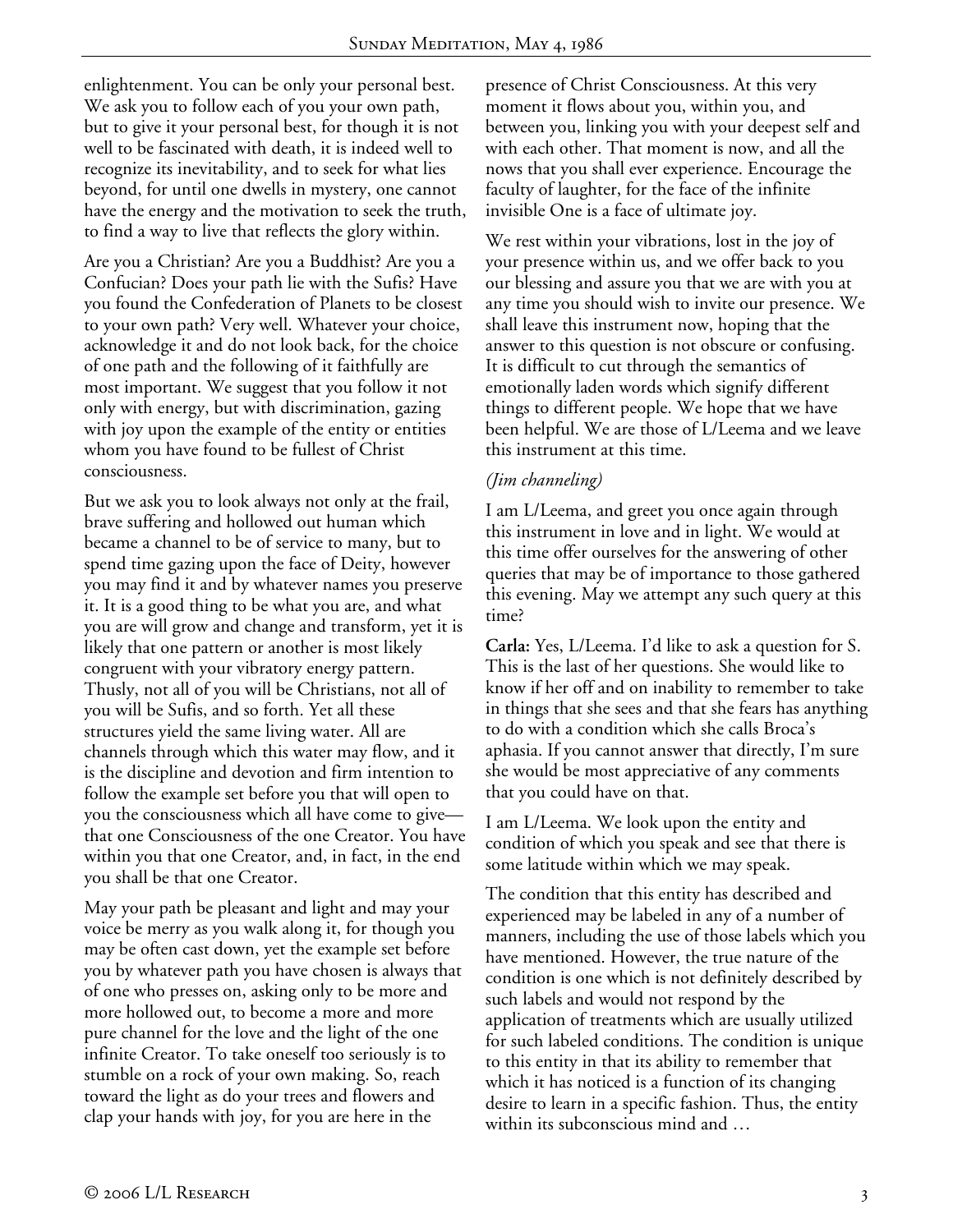enlightenment. You can be only your personal best. We ask you to follow each of you your own path, but to give it your personal best, for though it is not well to be fascinated with death, it is indeed well to recognize its inevitability, and to seek for what lies beyond, for until one dwells in mystery, one cannot have the energy and the motivation to seek the truth, to find a way to live that reflects the glory within.

Are you a Christian? Are you a Buddhist? Are you a Confucian? Does your path lie with the Sufis? Have you found the Confederation of Planets to be closest to your own path? Very well. Whatever your choice, acknowledge it and do not look back, for the choice of one path and the following of it faithfully are most important. We suggest that you follow it not only with energy, but with discrimination, gazing with joy upon the example of the entity or entities whom you have found to be fullest of Christ consciousness.

But we ask you to look always not only at the frail, brave suffering and hollowed out human which became a channel to be of service to many, but to spend time gazing upon the face of Deity, however you may find it and by whatever names you preserve it. It is a good thing to be what you are, and what you are will grow and change and transform, yet it is likely that one pattern or another is most likely congruent with your vibratory energy pattern. Thusly, not all of you will be Christians, not all of you will be Sufis, and so forth. Yet all these structures yield the same living water. All are channels through which this water may flow, and it is the discipline and devotion and firm intention to follow the example set before you that will open to you the consciousness which all have come to give that one Consciousness of the one Creator. You have within you that one Creator, and, in fact, in the end you shall be that one Creator.

May your path be pleasant and light and may your voice be merry as you walk along it, for though you may be often cast down, yet the example set before you by whatever path you have chosen is always that of one who presses on, asking only to be more and more hollowed out, to become a more and more pure channel for the love and the light of the one infinite Creator. To take oneself too seriously is to stumble on a rock of your own making. So, reach toward the light as do your trees and flowers and clap your hands with joy, for you are here in the

presence of Christ Consciousness. At this very moment it flows about you, within you, and between you, linking you with your deepest self and with each other. That moment is now, and all the nows that you shall ever experience. Encourage the faculty of laughter, for the face of the infinite invisible One is a face of ultimate joy.

We rest within your vibrations, lost in the joy of your presence within us, and we offer back to you our blessing and assure you that we are with you at any time you should wish to invite our presence. We shall leave this instrument now, hoping that the answer to this question is not obscure or confusing. It is difficult to cut through the semantics of emotionally laden words which signify different things to different people. We hope that we have been helpful. We are those of L/Leema and we leave this instrument at this time.

### *(Jim channeling)*

I am L/Leema, and greet you once again through this instrument in love and in light. We would at this time offer ourselves for the answering of other queries that may be of importance to those gathered this evening. May we attempt any such query at this time?

**Carla:** Yes, L/Leema. I'd like to ask a question for S. This is the last of her questions. She would like to know if her off and on inability to remember to take in things that she sees and that she fears has anything to do with a condition which she calls Broca's aphasia. If you cannot answer that directly, I'm sure she would be most appreciative of any comments that you could have on that.

I am L/Leema. We look upon the entity and condition of which you speak and see that there is some latitude within which we may speak.

The condition that this entity has described and experienced may be labeled in any of a number of manners, including the use of those labels which you have mentioned. However, the true nature of the condition is one which is not definitely described by such labels and would not respond by the application of treatments which are usually utilized for such labeled conditions. The condition is unique to this entity in that its ability to remember that which it has noticed is a function of its changing desire to learn in a specific fashion. Thus, the entity within its subconscious mind and …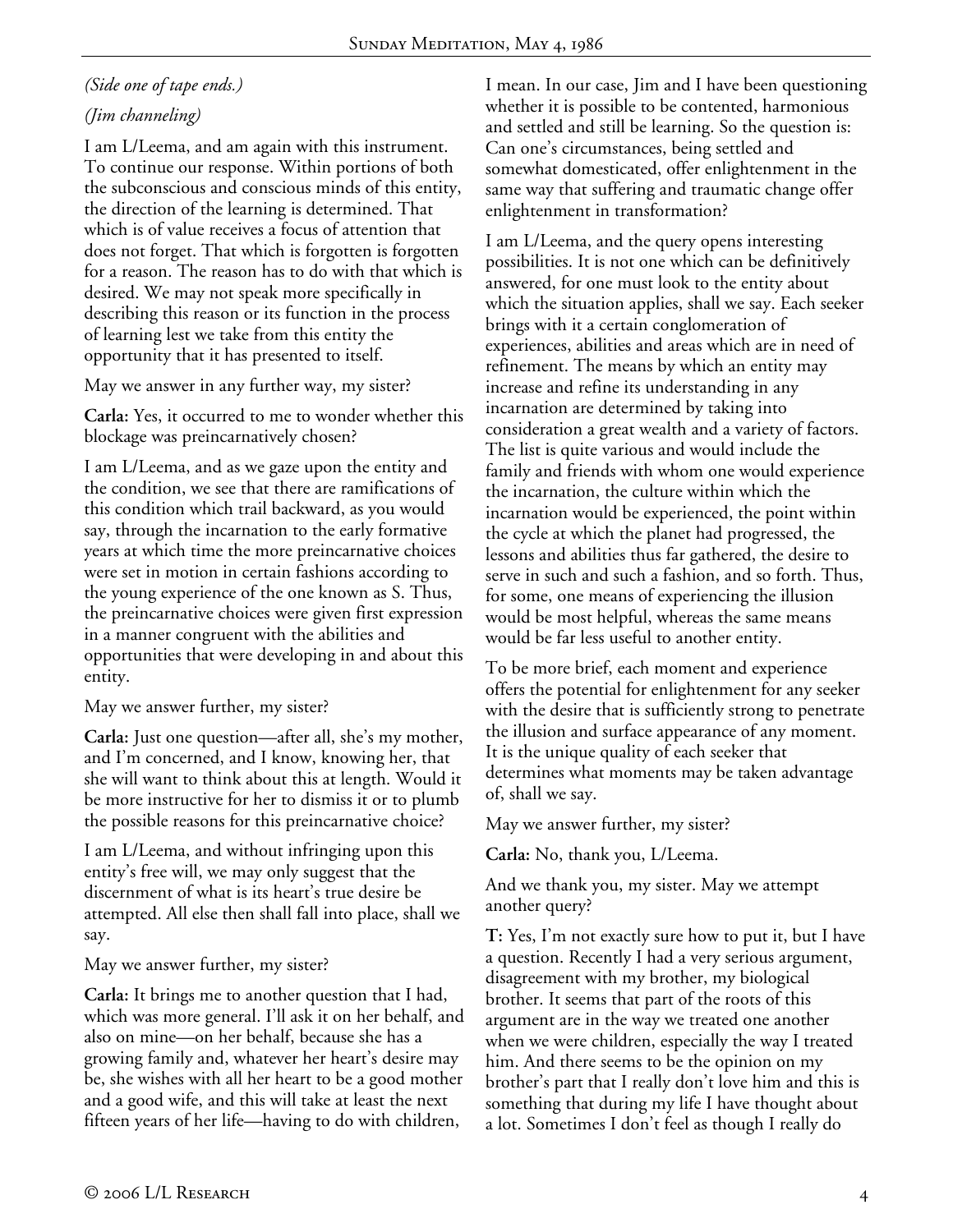# *(Side one of tape ends.)*

## *(Jim channeling)*

I am L/Leema, and am again with this instrument. To continue our response. Within portions of both the subconscious and conscious minds of this entity, the direction of the learning is determined. That which is of value receives a focus of attention that does not forget. That which is forgotten is forgotten for a reason. The reason has to do with that which is desired. We may not speak more specifically in describing this reason or its function in the process of learning lest we take from this entity the opportunity that it has presented to itself.

May we answer in any further way, my sister?

**Carla:** Yes, it occurred to me to wonder whether this blockage was preincarnatively chosen?

I am L/Leema, and as we gaze upon the entity and the condition, we see that there are ramifications of this condition which trail backward, as you would say, through the incarnation to the early formative years at which time the more preincarnative choices were set in motion in certain fashions according to the young experience of the one known as S. Thus, the preincarnative choices were given first expression in a manner congruent with the abilities and opportunities that were developing in and about this entity.

May we answer further, my sister?

**Carla:** Just one question—after all, she's my mother, and I'm concerned, and I know, knowing her, that she will want to think about this at length. Would it be more instructive for her to dismiss it or to plumb the possible reasons for this preincarnative choice?

I am L/Leema, and without infringing upon this entity's free will, we may only suggest that the discernment of what is its heart's true desire be attempted. All else then shall fall into place, shall we say.

May we answer further, my sister?

**Carla:** It brings me to another question that I had, which was more general. I'll ask it on her behalf, and also on mine—on her behalf, because she has a growing family and, whatever her heart's desire may be, she wishes with all her heart to be a good mother and a good wife, and this will take at least the next fifteen years of her life—having to do with children,

I mean. In our case, Jim and I have been questioning whether it is possible to be contented, harmonious and settled and still be learning. So the question is: Can one's circumstances, being settled and somewhat domesticated, offer enlightenment in the same way that suffering and traumatic change offer enlightenment in transformation?

I am L/Leema, and the query opens interesting possibilities. It is not one which can be definitively answered, for one must look to the entity about which the situation applies, shall we say. Each seeker brings with it a certain conglomeration of experiences, abilities and areas which are in need of refinement. The means by which an entity may increase and refine its understanding in any incarnation are determined by taking into consideration a great wealth and a variety of factors. The list is quite various and would include the family and friends with whom one would experience the incarnation, the culture within which the incarnation would be experienced, the point within the cycle at which the planet had progressed, the lessons and abilities thus far gathered, the desire to serve in such and such a fashion, and so forth. Thus, for some, one means of experiencing the illusion would be most helpful, whereas the same means would be far less useful to another entity.

To be more brief, each moment and experience offers the potential for enlightenment for any seeker with the desire that is sufficiently strong to penetrate the illusion and surface appearance of any moment. It is the unique quality of each seeker that determines what moments may be taken advantage of, shall we say.

May we answer further, my sister?

**Carla:** No, thank you, L/Leema.

And we thank you, my sister. May we attempt another query?

**T:** Yes, I'm not exactly sure how to put it, but I have a question. Recently I had a very serious argument, disagreement with my brother, my biological brother. It seems that part of the roots of this argument are in the way we treated one another when we were children, especially the way I treated him. And there seems to be the opinion on my brother's part that I really don't love him and this is something that during my life I have thought about a lot. Sometimes I don't feel as though I really do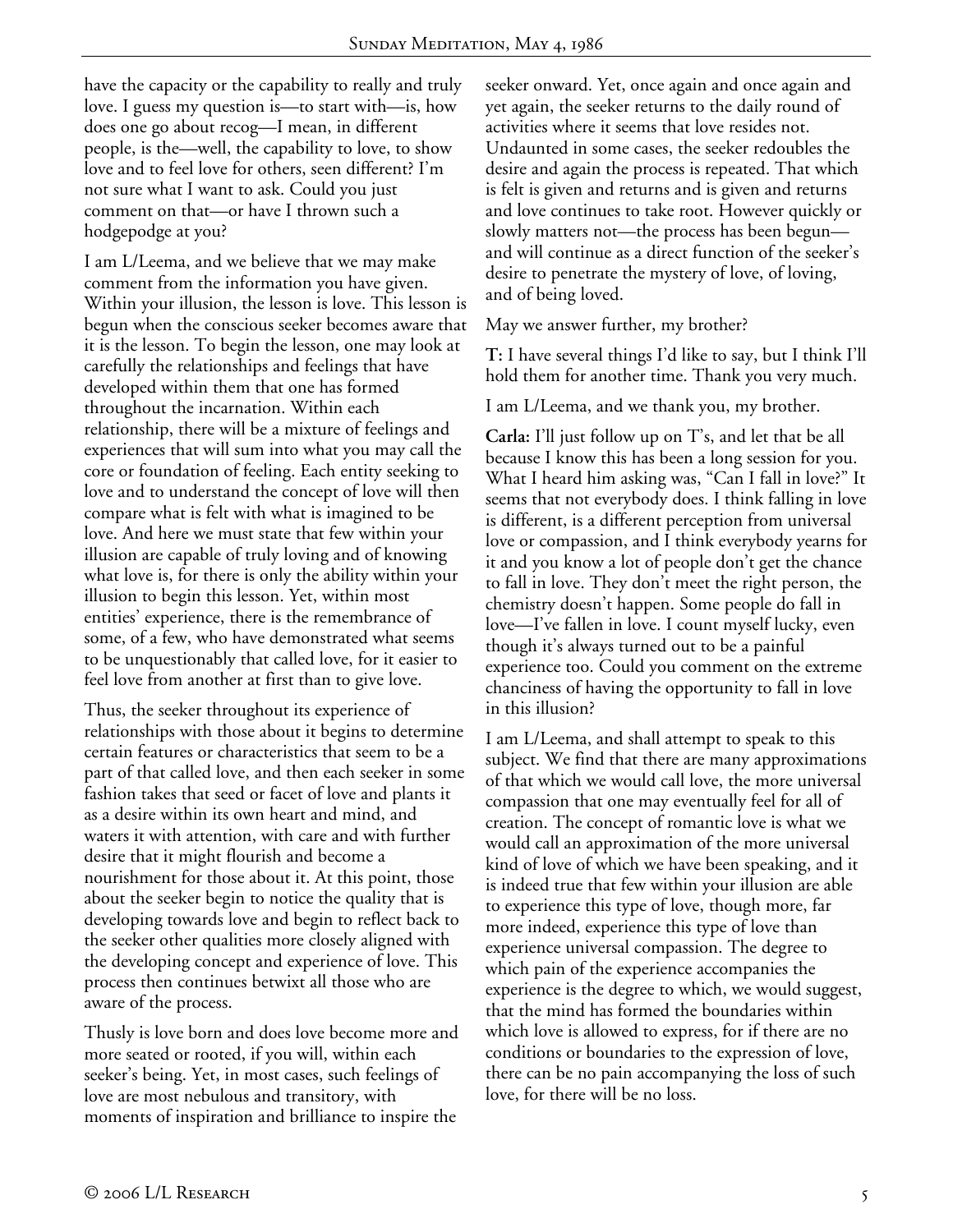have the capacity or the capability to really and truly love. I guess my question is—to start with—is, how does one go about recog—I mean, in different people, is the—well, the capability to love, to show love and to feel love for others, seen different? I'm not sure what I want to ask. Could you just comment on that—or have I thrown such a hodgepodge at you?

I am L/Leema, and we believe that we may make comment from the information you have given. Within your illusion, the lesson is love. This lesson is begun when the conscious seeker becomes aware that it is the lesson. To begin the lesson, one may look at carefully the relationships and feelings that have developed within them that one has formed throughout the incarnation. Within each relationship, there will be a mixture of feelings and experiences that will sum into what you may call the core or foundation of feeling. Each entity seeking to love and to understand the concept of love will then compare what is felt with what is imagined to be love. And here we must state that few within your illusion are capable of truly loving and of knowing what love is, for there is only the ability within your illusion to begin this lesson. Yet, within most entities' experience, there is the remembrance of some, of a few, who have demonstrated what seems to be unquestionably that called love, for it easier to feel love from another at first than to give love.

Thus, the seeker throughout its experience of relationships with those about it begins to determine certain features or characteristics that seem to be a part of that called love, and then each seeker in some fashion takes that seed or facet of love and plants it as a desire within its own heart and mind, and waters it with attention, with care and with further desire that it might flourish and become a nourishment for those about it. At this point, those about the seeker begin to notice the quality that is developing towards love and begin to reflect back to the seeker other qualities more closely aligned with the developing concept and experience of love. This process then continues betwixt all those who are aware of the process.

Thusly is love born and does love become more and more seated or rooted, if you will, within each seeker's being. Yet, in most cases, such feelings of love are most nebulous and transitory, with moments of inspiration and brilliance to inspire the

seeker onward. Yet, once again and once again and yet again, the seeker returns to the daily round of activities where it seems that love resides not. Undaunted in some cases, the seeker redoubles the desire and again the process is repeated. That which is felt is given and returns and is given and returns and love continues to take root. However quickly or slowly matters not—the process has been begun and will continue as a direct function of the seeker's desire to penetrate the mystery of love, of loving, and of being loved.

May we answer further, my brother?

**T:** I have several things I'd like to say, but I think I'll hold them for another time. Thank you very much.

I am L/Leema, and we thank you, my brother.

**Carla:** I'll just follow up on T's, and let that be all because I know this has been a long session for you. What I heard him asking was, "Can I fall in love?" It seems that not everybody does. I think falling in love is different, is a different perception from universal love or compassion, and I think everybody yearns for it and you know a lot of people don't get the chance to fall in love. They don't meet the right person, the chemistry doesn't happen. Some people do fall in love—I've fallen in love. I count myself lucky, even though it's always turned out to be a painful experience too. Could you comment on the extreme chanciness of having the opportunity to fall in love in this illusion?

I am L/Leema, and shall attempt to speak to this subject. We find that there are many approximations of that which we would call love, the more universal compassion that one may eventually feel for all of creation. The concept of romantic love is what we would call an approximation of the more universal kind of love of which we have been speaking, and it is indeed true that few within your illusion are able to experience this type of love, though more, far more indeed, experience this type of love than experience universal compassion. The degree to which pain of the experience accompanies the experience is the degree to which, we would suggest, that the mind has formed the boundaries within which love is allowed to express, for if there are no conditions or boundaries to the expression of love, there can be no pain accompanying the loss of such love, for there will be no loss.